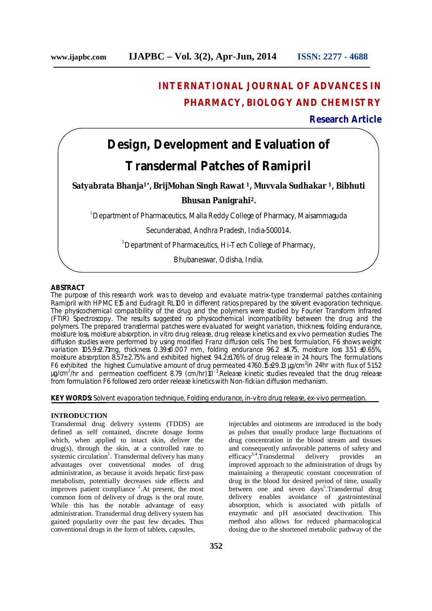## **INTERNATIONAL JOURNAL OF ADVANCES IN PHARMACY, BIOLOGY AND CHEMISTRY**

#### **Research Article**

# **Design, Development and Evaluation of Transdermal Patches of Ramipril**

**Satyabrata Bhanja1\* , BrijMohan Singh Rawat 1, Muvvala Sudhakar 1, Bibhuti** 

#### **Bhusan Panigrahi<sup>2</sup>.**

1.Department of Pharmaceutics, Malla Reddy College of Pharmacy, Maisammaguda

Secunderabad, Andhra Pradesh, India-500014.

<sup>2</sup> Department of Pharmaceutics, Hi-Tech College of Pharmacy,

Bhubaneswar, Odisha, India.

#### **ABSTRACT**

The purpose of this research work was to develop and evaluate matrix-type transdermal patches containing Ramipril with HPMC E15 and Eudragit RL100 in different ratios prepared by the solvent evaporation technique. The physicochemical compatibility of the drug and the polymers were studied by Fourier Transform Infrared (FTIR) Spectroscopy. The results suggested no physicochemical incompatibility between the drug and the polymers. The prepared transdermal patches were evaluated for weight variation, thickness, folding endurance, moisture loss, moisture absorption, *in vitro* drug release, drug release kinetics and *ex vivo* permeation studies. The diffusion studies were performed by using modified Franz diffusion cells. The best formulation, F6 shows weight variation 105.9±2.71mg, thickness 0.39±0.007 mm, folding endurance 96.2 ±4.75, moisture loss 3.51 ±0.65%, moisture absorption 8.57± 2.75% and exhibited highest 94.2±1.76% of drug release in 24 hours. The formulations F6 exhibited the highest Cumulative amount of drug permeated  $4760.15\pm29.13$  µg/cm<sup>2</sup>in 24hr with flux of 51.52 µg/cm<sup>2</sup>/hr and permeation coefficient 8.79 (cm/hr)10<sup>-3</sup>. Release kinetic studies revealed that the drug release from formulation F6 followed zero order release kinetics with Non-fickian diffusion mechanism.

**KEY WORDS:** Solvent evaporation technique, Folding endurance, *in-vitro* drug release, *ex-vivo* permeation.

#### **INTRODUCTION**

Transdermal drug delivery systems (TDDS) are defined as self contained, discrete dosage forms which, when applied to intact skin, deliver the drug(s), through the skin, at a controlled rate to systemic circulation<sup>1</sup>. Transdermal delivery has many advantages over conventional modes of drug administration, as because it avoids hepatic first-pass metabolism, potentially decreases side effects and improves patient compliance <sup>2</sup>. At present, the most common form of delivery of drugs is the oral route. While this has the notable advantage of easy administration. Transdermal drug delivery system has gained popularity over the past few decades. Thus conventional drugs in the form of tablets, capsules,

injectables and ointments are introduced in the body as pulses that usually produce large fluctuations of drug concentration in the blood stream and tissues and consequently unfavorable patterns of safety and efficacy<sup>3,4</sup>. Transdermal delivery provides an efficacy<sup>3,4</sup>.Transdermal delivery provides an improved approach to the administration of drugs by maintaining a therapeutic constant concentration of drug in the blood for desired period of time, usually between one and seven days<sup>5</sup>. Transdermal drug delivery enables avoidance of gastrointestinal absorption, which is associated with pitfalls of enzymatic and pH associated deactivation. This method also allows for reduced pharmacological dosing due to the shortened metabolic pathway of the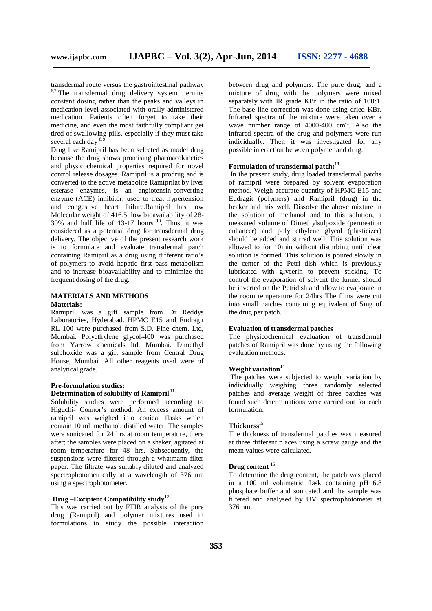transdermal route versus the gastrointestinal pathway  $6,7$ . The transdermal drug delivery system permits constant dosing rather than the peaks and valleys in medication level associated with orally administered medication. Patients often forget to take their medicine, and even the most faithfully compliant get tired of swallowing pills, especially if they must take several each day  $8$ ,<sup>8</sup>

Drug like Ramipril has been selected as model drug because the drug shows promising pharmacokinetics and physicochemical properties required for novel control release dosages. Ramipril is a prodrug and is converted to the active metabolite Ramiprilat by liver esterase enzymes, is an angiotensin-converting enzyme (ACE) inhibitor, used to treat hypertension and congestive heart failure.Ramipril has low Molecular weight of 416.5, low bioavailability of 28- $30\%$  and half life of 13-17 hours  $10$ . Thus, it was considered as a potential drug for transdermal drug delivery. The objective of the present research work is to formulate and evaluate transdermal patch containing Ramipril as a drug using different ratio's of polymers to avoid hepatic first pass metabolism and to increase bioavailability and to minimize the frequent dosing of the drug.

### **MATERIALS AND METHODS**

#### **Materials:**

Ramipril was a gift sample from Dr Reddys Laboratories, Hyderabad. HPMC E15 and Eudragit RL 100 were purchased from S.D. Fine chem. Ltd, Mumbai. Polyethylene glycol-400 was purchased from Yarrow chemicals ltd, Mumbai. Dimethyl sulphoxide was a gift sample from Central Drug House, Mumbai. All other reagents used were of analytical grade.

#### **Pre-formulation studies:** Determination of solubility of Ramipril<sup>11</sup>

Solubility studies were performed according to Higuchi- Connor's method. An excess amount of ramipril was weighed into conical flasks which contain 10 ml methanol, distilled water. The samples were sonicated for 24 hrs at room temperature, there after; the samples were placed on a shaker, agitated at room temperature for 48 hrs. Subsequently, the suspensions were filtered through a whatmann filter paper. The filtrate was suitably diluted and analyzed spectrophotometrically at a wavelength of 376 nm using a spectrophotometer**.** 

#### **Drug –Excipient Compatibility study**<sup>12</sup>

This was carried out by FTIR analysis of the pure drug (Ramipril) and polymer mixtures used in formulations to study the possible interaction between drug and polymers. The pure drug, and a mixture of drug with the polymers were mixed separately with IR grade KBr in the ratio of 100:1. The base line correction was done using dried KBr. Infrared spectra of the mixture were taken over a wave number range of 4000-400 cm<sup>-1</sup>. Also the infrared spectra of the drug and polymers were run individually. Then it was investigated for any possible interaction between polymer and drug.

#### **Formulation of transdermal patch: 13**

In the present study, drug loaded transdermal patchs of ramipril were prepared by solvent evaporation method. Weigh accurate quantity of HPMC E15 and Eudragit (polymers) and Ramipril (drug) in the beaker and mix well. Dissolve the above mixture in the solution of methanol and to this solution, a measured volume of Dimethylsulpoxide (permeation enhancer) and poly ethylene glycol (plasticizer) should be added and stirred well. This solution was allowed to for 10min without disturbing until clear solution is formed. This solution is poured slowly in the center of the Petri dish which is previously lubricated with glycerin to prevent sticking. To control the evaporation of solvent the funnel should be inverted on the Petridish and allow to evaporate in the room temperature for 24hrs The films were cut into small patches containing equivalent of 5mg of the drug per patch.

#### **Evaluation of transdermal patches**

The physicochemical evaluation of transdermal patches of Ramipril was done by using the following evaluation methods.

#### **Weight variation**<sup>14</sup>

The patches were subjected to weight variation by individually weighing three randomly selected patches and average weight of three patches was found such determinations were carried out for each formulation.

#### **Thickness**<sup>15</sup>

The thickness of transdermal patches was measured at three different places using a screw gauge and the mean values were calculated.

#### **Drug content** <sup>16</sup>

To determine the drug content, the patch was placed in a 100 ml volumetric flask containing pH 6.8 phosphate buffer and sonicated and the sample was filtered and analysed by UV spectrophotometer at 376 nm.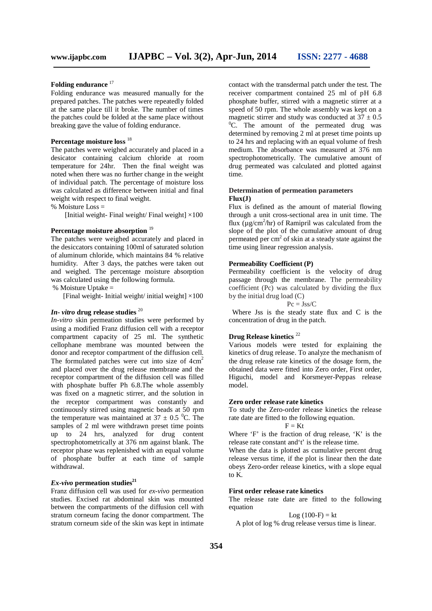#### Folding endurance<sup>17</sup>

Folding endurance was measured manually for the prepared patches. The patches were repeatedly folded at the same place till it broke. The number of times the patches could be folded at the same place without breaking gave the value of folding endurance.

#### **Percentage moisture loss** <sup>18</sup>

The patches were weighed accurately and placed in a desicator containing calcium chloride at room temperature for 24hr. Then the final weight was noted when there was no further change in the weight of individual patch. The percentage of moisture loss was calculated as difference between initial and final weight with respect to final weight.

% Moisture  $\text{Loss} =$ 

[Initial weight- Final weight/ Final weight]  $\times$ 100

#### Percentage moisture absorption<sup>19</sup>

The patches were weighed accurately and placed in the desiccators containing 100ml of saturated solution of aluminum chloride, which maintains 84 % relative humidity. After 3 days, the patches were taken out and weighed. The percentage moisture absorption was calculated using the following formula. % Moisture Uptake =

[Final weight- Initial weight/ initial weight]  $\times$ 100

### *In- vitro* **drug release studies** <sup>20</sup>

*In-vitro* skin permeation studies were performed by using a modified Franz diffusion cell with a receptor compartment capacity of 25 ml. The synthetic cellophane membrane was mounted between the donor and receptor compartment of the diffusion cell. The formulated patches were cut into size of  $4 \text{ cm}^2$ and placed over the drug release membrane and the receptor compartment of the diffusion cell was filled with phosphate buffer Ph 6.8.The whole assembly was fixed on a magnetic stirrer, and the solution in the receptor compartment was constantly and continuously stirred using magnetic beads at 50 rpm the temperature was maintained at  $37 \pm 0.5$  °C. The samples of 2 ml were withdrawn preset time points up to 24 hrs, analyzed for drug content spectrophotometrically at 376 nm against blank. The receptor phase was replenished with an equal volume of phosphate buffer at each time of sample withdrawal.

#### *Ex-vivo* **permeation studies<sup>21</sup>**

Franz diffusion cell was used for *ex-vivo* permeation studies. Excised rat abdominal skin was mounted between the compartments of the diffusion cell with stratum corneum facing the donor compartment. The stratum corneum side of the skin was kept in intimate contact with the transdermal patch under the test. The receiver compartment contained 25 ml of pH 6.8 phosphate buffer, stirred with a magnetic stirrer at a speed of 50 rpm. The whole assembly was kept on a magnetic stirrer and study was conducted at  $37 \pm 0.5$  ${}^{0}C$ . The amount of the permeated drug was determined by removing 2 ml at preset time points up to 24 hrs and replacing with an equal volume of fresh medium. The absorbance was measured at 376 nm spectrophotometrically. The cumulative amount of drug permeated was calculated and plotted against time.

#### **Determination of permeation parameters Flux(J)**

Flux is defined as the amount of material flowing through a unit cross-sectional area in unit time. The flux  $(\mu g/cm^2/hr)$  of Ramipril was calculated from the slope of the plot of the cumulative amount of drug permeated per  $cm<sup>2</sup>$  of skin at a steady state against the time using linear regression analysis.

#### **Permeability Coefficient (P)**

Permeability coefficient is the velocity of drug passage through the membrane. The permeability coefficient (Pc) was calculated by dividing the flux by the initial drug load (C)

#### $Pc = Jss/C$

 Where Jss is the steady state flux and C is the concentration of drug in the patch.

#### **Drug Release kinetics** <sup>22</sup>

Various models were tested for explaining the kinetics of drug release. To analyze the mechanism of the drug release rate kinetics of the dosage form, the obtained data were fitted into Zero order, First order, Higuchi, model and Korsmeyer-Peppas release model.

#### **Zero order release rate kinetics**

To study the Zero-order release kinetics the release rate date are fitted to the following equation.

$$
\mathbf{F} = \mathbf{K} \mathbf{t}
$$

Where 'F' is the fraction of drug release, 'K' is the release rate constant and't' is the release time.

When the data is plotted as cumulative percent drug release versus time, if the plot is linear then the date obeys Zero-order release kinetics, with a slope equal to  $\overline{K}$ .

#### **First order release rate kinetics**

The release rate date are fitted to the following equation

 $Log (100-F) = kt$ 

A plot of log % drug release versus time is linear.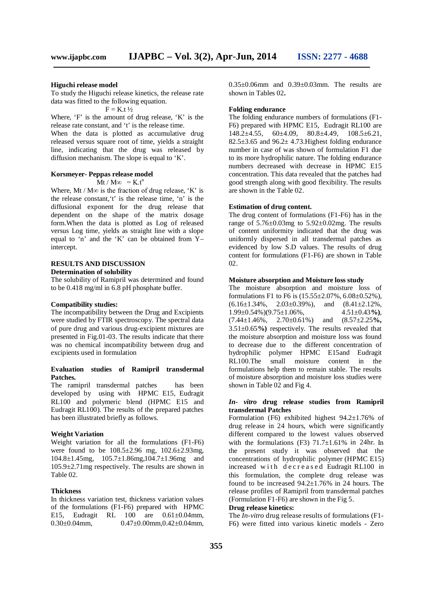#### **Higuchi release model**

To study the Higuchi release kinetics, the release rate data was fitted to the following equation.

 $F = K.t.$ 

Where, 'F' is the amount of drug release, 'K' is the release rate constant, and 't' is the release time.

When the data is plotted as accumulative drug released versus square root of time, yields a straight line, indicating that the drug was released by diffusion mechanism. The slope is equal to 'K'.

#### **Korsmeyer- Peppas release model**

#### $\overline{M}$ t / M∞ = K t<sup>n</sup>

Where, Mt / M $\infty$  is the fraction of drug release, 'K' is the release constant,'t' is the release time, 'n' is the diffusional exponent for the drug release that dependent on the shape of the matrix dosage form.When the data is plotted as Log of released versus Log time, yields as straight line with a slope equal to 'n' and the 'K' can be obtained from Y– intercept.

#### **RESULTS AND DISCUSSION Determination of solubility**

The solubility of Ramipril was determined and found to be 0.418 mg/ml in 6.8 pH phosphate buffer.

#### **Compatibility studies:**

The incompatibility between the Drug and Excipients were studied by FTIR spectroscopy. The spectral data of pure drug and various drug-excipient mixtures are presented in Fig.01-03. The results indicate that there was no chemical incompatibility between drug and excipients used in formulation

#### **Evaluation studies of Ramipril transdermal Patches.**

The ramipril transdermal patches has been developed by using with HPMC E15, Eudragit RL100 and polymeric blend (HPMC E15 and Eudragit RL100). The results of the prepared patches has been illustrated briefly as follows.

#### **Weight Variation**

Weight variation for all the formulations (F1-F6) were found to be 108.5±2.96 mg, 102.6±2.93mg, 104.8±1.45mg, 105.7±1.86mg,104.7±1.96mg and 105.9±2.71mg respectively. The results are shown in Table 02.

#### **Thickness**

In thickness variation test, thickness variation values of the formulations (F1-F6) prepared with HPMC E15, Eudragit RL 100 are 0.61±0.04mm, 0.30±0.04mm, 0.47±0.00mm,0.42±0.04mm,  $0.35\pm0.06$  mm and  $0.39\pm0.03$  mm. The results are shown in Tables 02**.**

#### **Folding endurance**

The folding endurance numbers of formulations (F1- F6) prepared with HPMC E15, Eudragit RL100 are 148.2±4.55, 60±4.09, 80.8±4.49, 108.5±6.21,  $82.5\pm3.65$  and  $96.2\pm4.73$ . Highest folding endurance number in case of was shown of formulation F1 due to its more hydrophilic nature. The folding endurance numbers decreased with decrease in HPMC E15 concentration. This data revealed that the patches had good strength along with good flexibility. The results are shown in the Table 02.

#### **Estimation of drug content.**

The drug content of formulations (F1-F6) has in the range of  $5.76 \pm 0.03$  mg to  $5.92 \pm 0.02$  mg. The results of content uniformity indicated that the drug was uniformly dispersed in all transdermal patches as evidenced by low S.D values. The results of drug content for formulations (F1-F6) are shown in Table 02.

#### **Moisture absorption and Moisture loss study**

The moisture absorption and moisture loss of formulations F1 to F6 is  $(15.55 \pm 2.07\% , 6.08 \pm 0.52\% )$ ,  $(6.16\pm1.34\%$ ,  $2.03\pm0.39\%$ ), and  $(8.41\pm2.12\%$ , 1.99±0.54%)(9.75±1.06%, 4.51±0.43**%)**, (7.44±1.46%, 2.70±0.61%) and (8.57±2.25**%,** 3.51±0.65**%)** respectively. The results revealed that the moisture absorption and moisture loss was found to decrease due to the different concentration of hydrophilic polymer HPMC E15and Eudragit RL100.The small moisture content in the formulations help them to remain stable. The results of moisture absorption and moisture loss studies were shown in Table 02 and Fig 4.

#### *In- vitro* **drug release studies from Ramipril transdermal Patches**

Formulation (F6) exhibited highest 94.2±1.76% of drug release in 24 hours, which were significantly different compared to the lowest values observed with the formulations  $(F3)$  71.7 $\pm$ 1.61% in 24hr. In the present study it was observed that the concentrations of hydrophilic polymer (HPMC E15) increased with decreased Eudragit RL100 in this formulation, the complete drug release was found to be increased  $94.2 \pm 1.76\%$  in 24 hours. The release profiles of Ramipril from transdermal patches (Formulation F1-F6) are shown in the Fig 5.

#### **Drug release kinetics:**

The *In-vitro* drug release results of formulations (F1- F6) were fitted into various kinetic models - Zero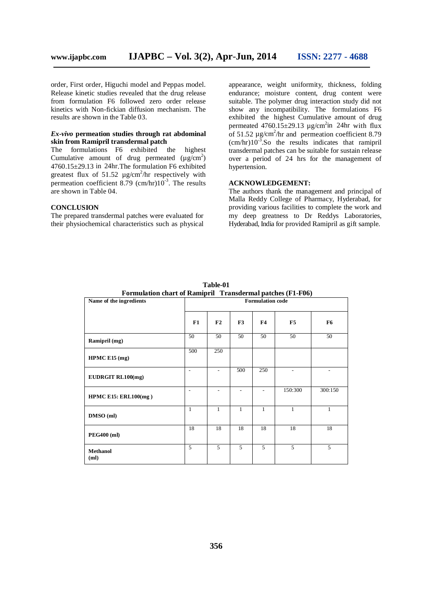order, First order, Higuchi model and Peppas model. Release kinetic studies revealed that the drug release from formulation F6 followed zero order release kinetics with Non-fickian diffusion mechanism. The results are shown in the Table 03.

#### *Ex-vivo* **permeation studies through rat abdominal skin from Ramipril transdermal patch**

The formulations F6 exhibited the highest Cumulative amount of drug permeated  $(\mu g/cm^2)$ 4760.15±29.13 in 24hr.The formulation F6 exhibited greatest flux of 51.52  $\mu$ g/cm<sup>2</sup>/hr respectively with permeation coefficient 8.79 (cm/hr) $10^{-3}$ . The results are shown in Table 04.

#### **CONCLUSION**

The prepared transdermal patches were evaluated for their physiochemical characteristics such as physical

appearance, weight uniformity, thickness, folding endurance; moisture content, drug content were suitable. The polymer drug interaction study did not show any incompatibility. The formulations F6 exhibited the highest Cumulative amount of drug permeated  $4760.15 \pm 29.13$  µg/cm<sup>2</sup>in 24hr with flux of 51.52  $\mu$ g/cm<sup>2</sup>/hr and permeation coefficient 8.79  $(cm/hr)10^{-3}$ . So the results indicates that ramipril transdermal patches can be suitable for sustain release over a period of 24 hrs for the management of hypertension.

#### **ACKNOWLEDGEMENT:**

The authors thank the management and principal of Malla Reddy College of Pharmacy, Hyderabad, for providing various facilities to complete the work and my deep greatness to Dr Reddys Laboratories, Hyderabad, India for provided Ramipril as gift sample.

| Formulation chart of Ramipril Transdermal patches (F1-F06) |                          |              |                          |                          |         |         |
|------------------------------------------------------------|--------------------------|--------------|--------------------------|--------------------------|---------|---------|
| Name of the ingredients                                    | <b>Formulation code</b>  |              |                          |                          |         |         |
|                                                            | F1                       | F2           | F3                       | F4                       | F5      | F6      |
| Ramipril (mg)                                              | 50                       | 50           | 50                       | 50                       | 50      | 50      |
| HPMC E15 (mg)                                              | 500                      | 250          |                          |                          |         |         |
| EUDRGIT RL100(mg)                                          | $\overline{\phantom{a}}$ |              | 500                      | 250                      |         |         |
| HPMC E15: ERL100(mg)                                       | $\overline{a}$           |              | $\overline{\phantom{0}}$ | $\overline{\phantom{a}}$ | 150:300 | 300:150 |
| DMSO (ml)                                                  | 1                        | $\mathbf{1}$ | 1                        | $\mathbf{1}$             | 1       | 1       |
| <b>PEG400 (ml)</b>                                         | 18                       | 18           | 18                       | 18                       | 18      | 18      |
| <b>Methanol</b><br>(ml)                                    | 5                        | 5            | 5                        | $\mathfrak{F}$           | 5       | 5       |

**Table-01 Formulation chart of Ramipril Transdermal patches (F1-F06)**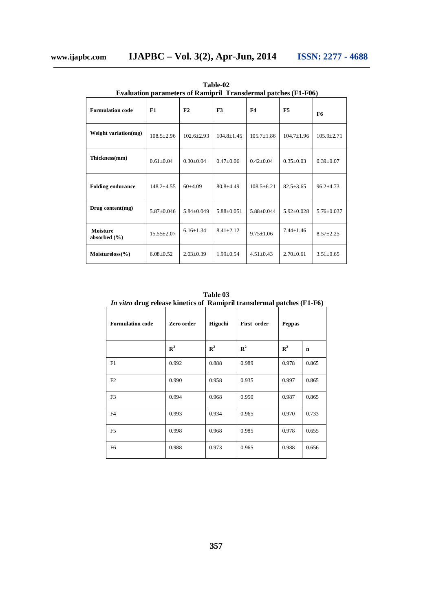÷,

| Table-02                                                       |  |  |  |  |  |  |  |
|----------------------------------------------------------------|--|--|--|--|--|--|--|
| Evaluation parameters of Ramipril Transdermal patches (F1-F06) |  |  |  |  |  |  |  |
|                                                                |  |  |  |  |  |  |  |

| <b>Formulation code</b>             | F1               | F2               | F3               | F4               | F <sub>5</sub>   | F6               |
|-------------------------------------|------------------|------------------|------------------|------------------|------------------|------------------|
| Weight variation(mg)                | $108.5 \pm 2.96$ | $102.6 \pm 2.93$ | $104.8 \pm 1.45$ | $105.7 \pm 1.86$ | $104.7 \pm 1.96$ | $105.9 \pm 2.71$ |
| Thickness(mm)                       | $0.61 \pm 0.04$  | $0.30 \pm 0.04$  | $0.47 \pm 0.06$  | $0.42 \pm 0.04$  | $0.35 \pm 0.03$  | $0.39 \pm 0.07$  |
| <b>Folding endurance</b>            | $148.2 \pm 4.55$ | $60+4.09$        | $80.8 \pm 4.49$  | $108.5 \pm 6.21$ | $82.5 \pm 3.65$  | $96.2 \pm 4.73$  |
| Drug content(mg)                    | $5.87 \pm 0.046$ | $5.84 \pm 0.049$ | $5.88 \pm 0.051$ | $5.88 \pm 0.044$ | $5.92 \pm 0.028$ | $5.76 \pm 0.037$ |
| <b>Moisture</b><br>absorbed $(\% )$ | $15.55 \pm 2.07$ | $6.16 \pm 1.34$  | $8.41 \pm 2.12$  | $9.75 \pm 1.06$  | $7.44 + 1.46$    | $8.57 \pm 2.25$  |
| $Moistureloss(\% )$                 | $6.08 \pm 0.52$  | $2.03 \pm 0.39$  | $1.99 \pm 0.54$  | $4.51 \pm 0.43$  | $2.70 \pm 0.61$  | $3.51 \pm 0.65$  |

**Table 03** *In vitro* **drug release kinetics of Ramipril transdermal patches (F1-F6)**

| <b>Formulation</b> code | Zero order  | Higuchi     | First order | Peppas         |             |
|-------------------------|-------------|-------------|-------------|----------------|-------------|
|                         | ${\bf R}^2$ | ${\bf R}^2$ | ${\bf R}^2$ | $\mathbf{R}^2$ | $\mathbf n$ |
| F1                      | 0.992       | 0.888       | 0.989       | 0.978          | 0.865       |
| F2                      | 0.990       | 0.958       | 0.935       | 0.997          | 0.865       |
| F <sub>3</sub>          | 0.994       | 0.968       | 0.950       | 0.987          | 0.865       |
| F <sub>4</sub>          | 0.993       | 0.934       | 0.965       | 0.970          | 0.733       |
| F <sub>5</sub>          | 0.998       | 0.968       | 0.985       | 0.978          | 0.655       |
| F <sub>6</sub>          | 0.988       | 0.973       | 0.965       | 0.988          | 0.656       |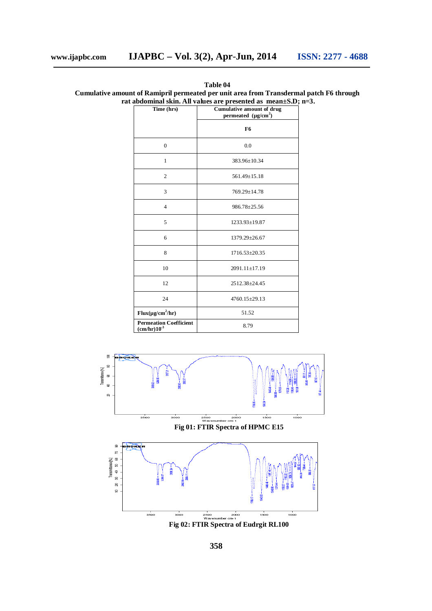| Time (hrs)                                      | abuonniai sinn. An values are presenteu as "incan± $\cup$ .D<br><b>Cumulative amount of drug</b><br>permeated $(\mu g/cm^2)$ |  |  |
|-------------------------------------------------|------------------------------------------------------------------------------------------------------------------------------|--|--|
|                                                 | F <sub>6</sub>                                                                                                               |  |  |
| $\overline{0}$                                  | 0.0                                                                                                                          |  |  |
| $\mathbf{1}$                                    | 383.96±10.34                                                                                                                 |  |  |
| $\overline{2}$                                  | $561.49 \pm 15.18$                                                                                                           |  |  |
| 3                                               | $769.29 \pm 14.78$                                                                                                           |  |  |
| $\overline{4}$                                  | $986.78 \pm 25.56$                                                                                                           |  |  |
| 5                                               | 1233.93±19.87                                                                                                                |  |  |
| 6                                               | 1379.29±26.67                                                                                                                |  |  |
| 8                                               | $1716.53 \pm 20.35$                                                                                                          |  |  |
| 10                                              | 2091.11±17.19                                                                                                                |  |  |
| 12                                              | 2512.38±24.45                                                                                                                |  |  |
| 24                                              | $4760.15 \pm 29.13$                                                                                                          |  |  |
| $Flux(\mu g/cm^2/hr)$                           | 51.52                                                                                                                        |  |  |
| <b>Permeation Coefficient</b><br>$(cm/hr) 10-3$ | 8.79                                                                                                                         |  |  |

**Table 04 Cumulative amount of Ramipril permeated per unit area from Transdermal patch F6 through rat abdominal skin. All values are presented as mean±S.D; n=3.**





**Fig 02: FTIR Spectra of Eudrgit RL100**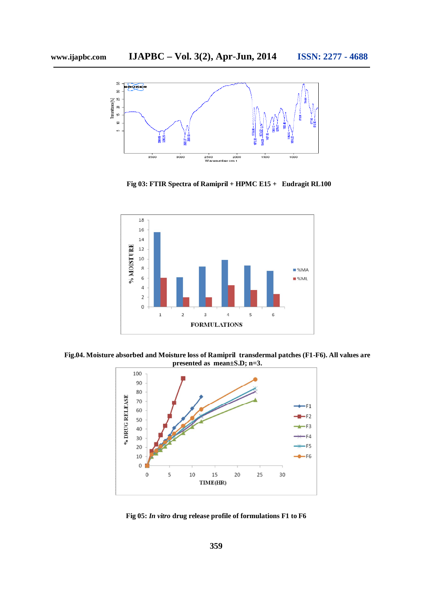

**Fig 03: FTIR Spectra of Ramipril + HPMC E15 + Eudragit RL100**



**Fig.04. Moisture absorbed and Moisture loss of Ramipril transdermal patches (F1-F6). All values are presented as mean±S.D; n=3.**



**Fig 05:** *In vitro* **drug release profile of formulations F1 to F6**